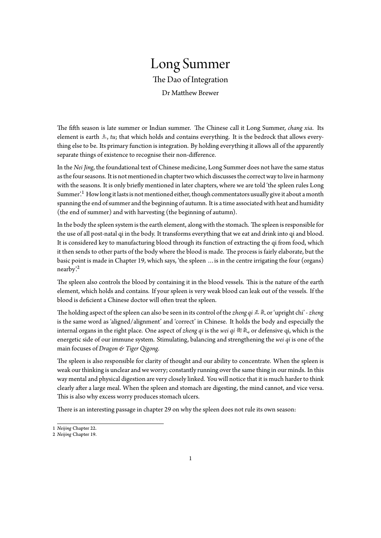## Long Summer The Dao of Integration Dr Matthew Brewer

The fifth season is late summer or Indian summer. The Chinese call it Long Summer, *chang xia*. Its element is earth 土, *tu*; that which holds and contains everything. It is the bedrock that allows everything else to be. Its primary function is integration. By holding everything it allows all of the apparently separate things of existence to recognise their non-difference.

In the *Nei Jing*, the foundational text of Chinese medicine, Long Summer does not have the same status as the four seasons. It is not mentioned in chapter two which discusses the correct way to live in harmony with the seasons. It is only briefly mentioned in later chapters, where we are told 'the spleen rules Long Summer'.<sup>1</sup> How long it lasts is not mentioned either, though commentators usually give it about a month spanning the end of summer and the beginning of autumn. It is a time associated with heat and humidity (the end of summer) and with harvesting (the beginning of autumn).

In the bo[dy](#page-0-0) the spleen system is the earth element, along with the stomach. The spleen is responsible for the use of all post-natal qi in the body. It transforms everything that we eat and drink into qi and blood. It is considered key to manufacturing blood through its function of extracting the qi from food, which it then sends to other parts of the body where the blood is made. The process is fairly elaborate, but the basic point is made in Chapter 19, which says, 'the spleen …is in the centre irrigating the four (organs) nearby'.<sup>2</sup>

The spleen also controls the blood by containing it in the blood vessels. This is the nature of the earth element, which holds and contains. If your spleen is very weak blood can leak out of the vessels. If the blood i[s](#page-0-1) deficient a Chinese doctor will often treat the spleen.

The holding aspect of the spleen can also be seen in its control of the *zheng qi* 正氣 or 'upright chi' - *zheng* is the same word as 'aligned/alignment' and 'correct' in Chinese. It holds the body and especially the internal organs in the right place. One aspect of *zheng qi* is the *wei qi* 衛氣, or defensive qi, which is the energetic side of our immune system. Stimulating, balancing and strengthening the *wei qi* is one of the main focuses of *Dragon & Tiger Qigong*.

The spleen is also responsible for clarity of thought and our ability to concentrate. When the spleen is weak our thinking is unclear and we worry; constantly running over the same thing in our minds. In this way mental and physical digestion are very closely linked. You will notice that it is much harder to think clearly after a large meal. When the spleen and stomach are digesting, the mind cannot, and vice versa. This is also why excess worry produces stomach ulcers.

There is an interesting passage in chapter 29 on why the spleen does not rule its own season:

<sup>1</sup> *Neijing* Chapter 22.

<span id="page-0-1"></span><span id="page-0-0"></span><sup>2</sup> *Neijing* Chapter 19.